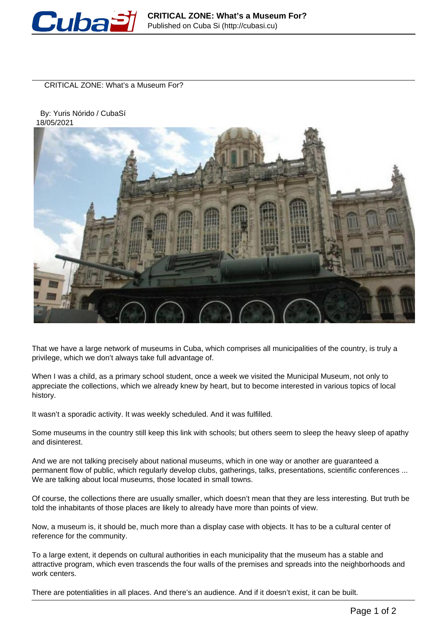

CRITICAL ZONE: What's a Museum For?

 By: Yuris Nórido / CubaSí 18/05/2021



That we have a large network of museums in Cuba, which comprises all municipalities of the country, is truly a privilege, which we don't always take full advantage of.

When I was a child, as a primary school student, once a week we visited the Municipal Museum, not only to appreciate the collections, which we already knew by heart, but to become interested in various topics of local history.

It wasn't a sporadic activity. It was weekly scheduled. And it was fulfilled.

Some museums in the country still keep this link with schools; but others seem to sleep the heavy sleep of apathy and disinterest.

And we are not talking precisely about national museums, which in one way or another are guaranteed a permanent flow of public, which regularly develop clubs, gatherings, talks, presentations, scientific conferences ... We are talking about local museums, those located in small towns.

Of course, the collections there are usually smaller, which doesn't mean that they are less interesting. But truth be told the inhabitants of those places are likely to already have more than points of view.

Now, a museum is, it should be, much more than a display case with objects. It has to be a cultural center of reference for the community.

To a large extent, it depends on cultural authorities in each municipality that the museum has a stable and attractive program, which even trascends the four walls of the premises and spreads into the neighborhoods and work centers.

There are potentialities in all places. And there's an audience. And if it doesn't exist, it can be built.